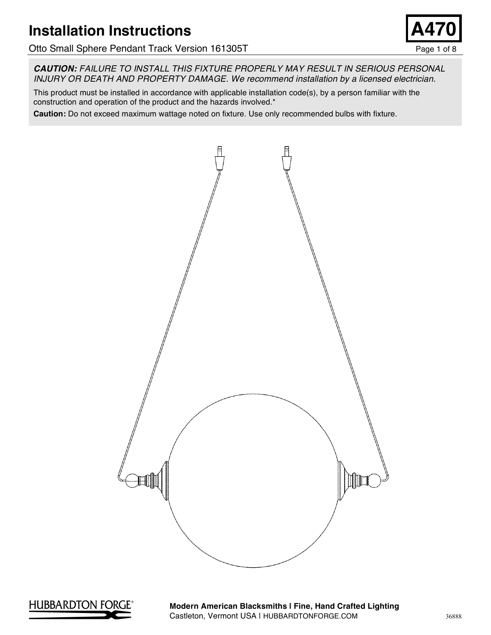# **Installation Instructions**

Otto Small Sphere Pendant Track Version 161305T example the state of 8 Page 1 of 8

*CAUTION: FAILURE TO INSTALL THIS FIXTURE PROPERLY MAY RESULT IN SERIOUS PERSONAL INJURY OR DEATH AND PROPERTY DAMAGE. We recommend installation by a licensed electrician.*

This product must be installed in accordance with applicable installation code(s), by a person familiar with the construction and operation of the product and the hazards involved.\*

**Caution:** Do not exceed maximum wattage noted on fixture. Use only recommended bulbs with fixture.





**Modern American Blacksmiths | Fine, Hand Crafted Lighting** Castleton, Vermont USA | HUBBARDTONFORGE.COM 36888

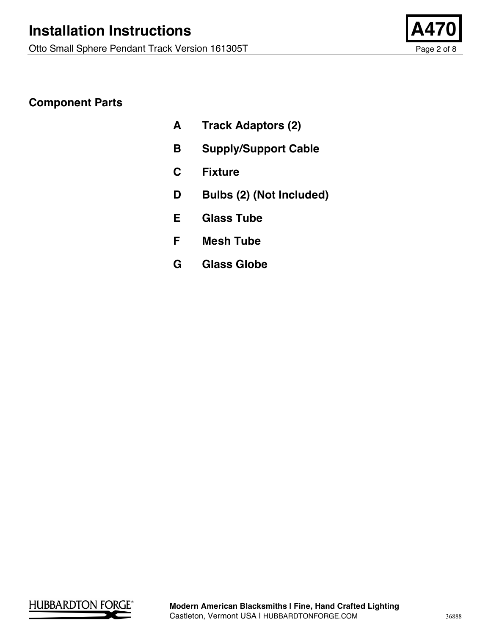

## **Component Parts**

- **A Track Adaptors (2)**
- **B Supply/Support Cable**
- **C Fixture**
- **D Bulbs (2) (Not Included)**
- **E Glass Tube**
- **F Mesh Tube**
- **G Glass Globe**

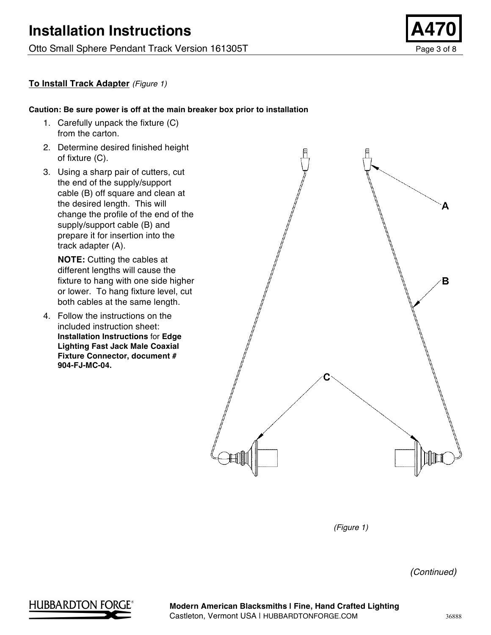Otto Small Sphere Pendant Track Version 161305T example 2 and 2 and 2 and 2 and 2 and 2 and 2 and 2 and 2 and 2 and 2 and 2 and 2 and 2 and 2 and 2 and 2 and 2 and 2 and 2 and 2 and 2 and 2 and 2 and 2 and 2 and 2 and 2 an



#### **To Install Track Adapter** *(Figure 1)*

#### **Caution: Be sure power is off at the main breaker box prior to installation**

- 1. Carefully unpack the fixture (C) from the carton.
- 2. Determine desired finished height of fixture (C).
- 3. Using a sharp pair of cutters, cut the end of the supply/support cable (B) off square and clean at the desired length. This will change the profile of the end of the supply/support cable (B) and prepare it for insertion into the track adapter (A).

**NOTE:** Cutting the cables at different lengths will cause the fixture to hang with one side higher or lower. To hang fixture level, cut both cables at the same length.

4. Follow the instructions on the included instruction sheet: **Installation Instructions** for **Edge Lighting Fast Jack Male Coaxial Fixture Connector, document # 904-FJ-MC-04.**



*(Figure 1)*

*(Continued)*

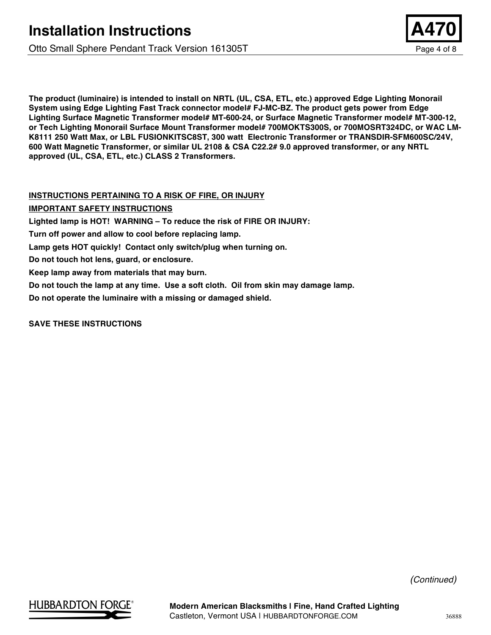Otto Small Sphere Pendant Track Version 161305T example 2 and 2 and 2 and 2 and 2 and 2 and 2 and 2 and 2 and 2 and 2 and 2 and 2 and 2 and 2 and 2 and 2 and 2 and 2 and 2 and 2 and 2 and 2 and 2 and 2 and 2 and 2 and 2 an



#### **INSTRUCTIONS PERTAINING TO A RISK OF FIRE, OR INJURY**

**IMPORTANT SAFETY INSTRUCTIONS**

**Lighted lamp is HOT! WARNING – To reduce the risk of FIRE OR INJURY:**

**Turn off power and allow to cool before replacing lamp.**

**Lamp gets HOT quickly! Contact only switch/plug when turning on.**

**Do not touch hot lens, guard, or enclosure.**

**Keep lamp away from materials that may burn.**

**Do not touch the lamp at any time. Use a soft cloth. Oil from skin may damage lamp.**

**Do not operate the luminaire with a missing or damaged shield.**

**SAVE THESE INSTRUCTIONS**



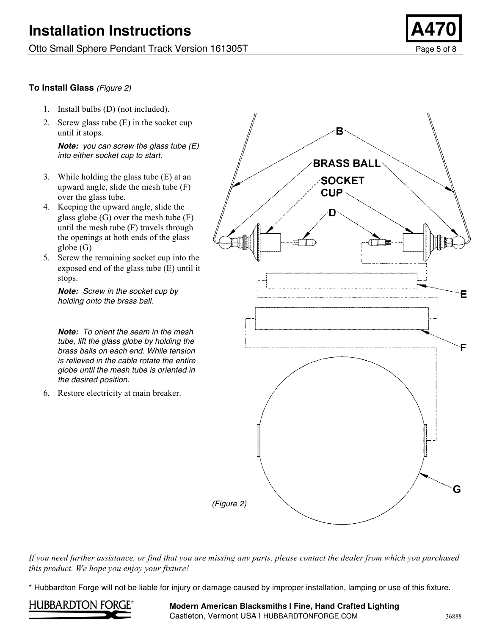### **To Install Glass** *(Figure 2)*

- 1. Install bulbs (D) (not included).
- 2. Screw glass tube (E) in the socket cup until it stops.

*Note: you can screw the glass tube (E) into either socket cup to start.*

- 3. While holding the glass tube (E) at an upward angle, slide the mesh tube (F) over the glass tube.
- 4. Keeping the upward angle, slide the glass globe (G) over the mesh tube (F) until the mesh tube (F) travels through the openings at both ends of the glass globe (G)
- 5. Screw the remaining socket cup into the exposed end of the glass tube (E) until it stops.

*Note: Screw in the socket cup by holding onto the brass ball.*

*Note: To orient the seam in the mesh tube, lift the glass globe by holding the brass balls on each end. While tension is relieved in the cable rotate the entire globe until the mesh tube is oriented in the desired position.*

6. Restore electricity at main breaker.



*If you need further assistance, or find that you are missing any parts, please contact the dealer from which you purchased this product. We hope you enjoy your fixture!*

\* Hubbardton Forge will not be liable for injury or damage caused by improper installation, lamping or use of this fixture.



**Modern American Blacksmiths | Fine, Hand Crafted Lighting** Castleton, Vermont USA | HUBBARDTONFORGE.COM 36888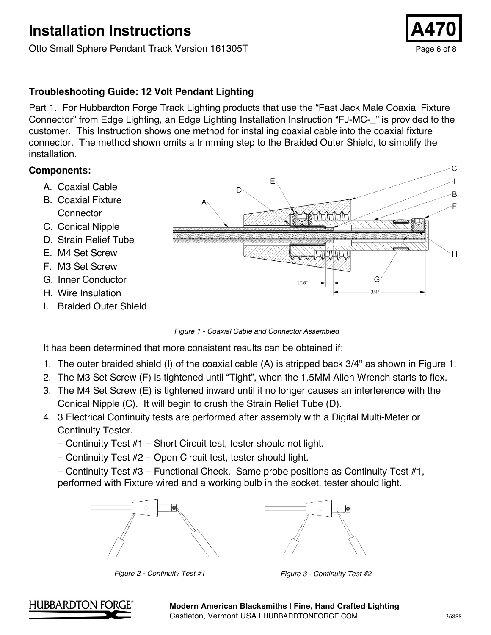### **Troubleshooting Guide: 12 Volt Pendant Lighting**

Part 1. For Hubbardton Forge Track Lighting products that use the "Fast Jack Male Coaxial Fixture Connector" from Edge Lighting, an Edge Lighting Installation Instruction "FJ-MC-\_" is provided to the customer. This Instruction shows one method for installing coaxial cable into the coaxial fixture connector. The method shown omits a trimming step to the Braided Outer Shield, to simplify the installation.

### **Components:**

- A. Coaxial Cable
- B. Coaxial Fixture **Connector**
- C. Conical Nipple
- D. Strain Relief Tube
- E. M4 Set Screw
- F. M3 Set Screw
- G. Inner Conductor
- H. Wire Insulation
- I. Braided Outer Shield



*Figure 1 - Coaxial Cable and Connector Assembled*

It has been determined that more consistent results can be obtained if:

- 1. The outer braided shield (I) of the coaxial cable (A) is stripped back 3/4" as shown in Figure 1.
- 2. The M3 Set Screw (F) is tightened until "Tight", when the 1.5MM Allen Wrench starts to flex.
- 3. The M4 Set Screw (E) is tightened inward until it no longer causes an interference with the Conical Nipple (C). It will begin to crush the Strain Relief Tube (D).
- 4. 3 Electrical Continuity tests are performed after assembly with a Digital Multi-Meter or Continuity Tester.
	- Continuity Test #1 Short Circuit test, tester should not light.
	- Continuity Test #2 Open Circuit test, tester should light.

– Continuity Test #3 – Functional Check. Same probe positions as Continuity Test #1, performed with Fixture wired and a working bulb in the socket, tester should light.





*Figure 2 - Continuity Test #1 Figure 3 - Continuity Test #2*

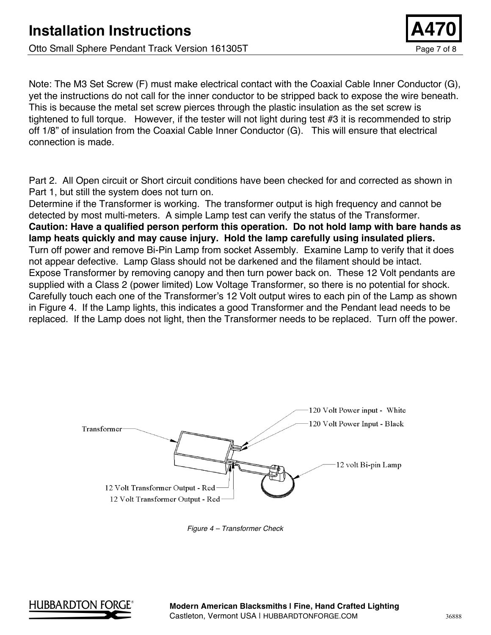Note: The M3 Set Screw (F) must make electrical contact with the Coaxial Cable Inner Conductor (G), yet the instructions do not call for the inner conductor to be stripped back to expose the wire beneath. This is because the metal set screw pierces through the plastic insulation as the set screw is tightened to full torque. However, if the tester will not light during test #3 it is recommended to strip off 1/8" of insulation from the Coaxial Cable Inner Conductor (G). This will ensure that electrical connection is made.

Part 2. All Open circuit or Short circuit conditions have been checked for and corrected as shown in Part 1, but still the system does not turn on.

Determine if the Transformer is working. The transformer output is high frequency and cannot be detected by most multi-meters. A simple Lamp test can verify the status of the Transformer. **Caution: Have a qualified person perform this operation. Do not hold lamp with bare hands as lamp heats quickly and may cause injury. Hold the lamp carefully using insulated pliers.** Turn off power and remove Bi-Pin Lamp from socket Assembly. Examine Lamp to verify that it does not appear defective. Lamp Glass should not be darkened and the filament should be intact. Expose Transformer by removing canopy and then turn power back on. These 12 Volt pendants are supplied with a Class 2 (power limited) Low Voltage Transformer, so there is no potential for shock. Carefully touch each one of the Transformer's 12 Volt output wires to each pin of the Lamp as shown in Figure 4. If the Lamp lights, this indicates a good Transformer and the Pendant lead needs to be replaced. If the Lamp does not light, then the Transformer needs to be replaced. Turn off the power.



*Figure 4 – Transformer Check*